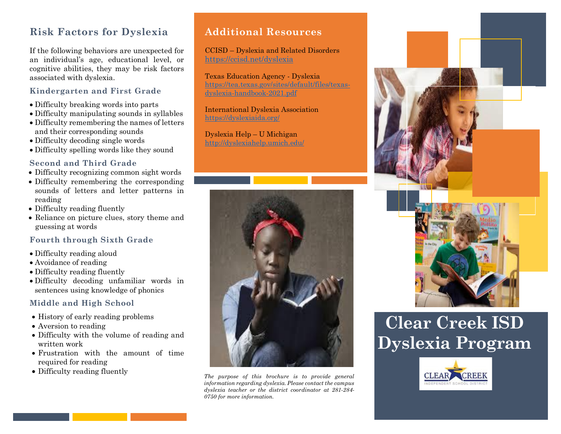# **Risk Factors for Dyslexia**

If the following behaviors are unexpected for an individual's age, educational level, or cognitive abilities, they may be risk factors associated with dyslexia.

### **Kindergarten and First Grade**

- Difficulty breaking words into parts
- Difficulty manipulating sounds in syllables
- Difficulty remembering the names of letters and their corresponding sounds
- Difficulty decoding single words
- Difficulty spelling words like they sound

#### **Second and Third Grade**

- Difficulty recognizing common sight words
- Difficulty remembering the corresponding sounds of letters and letter patterns in reading
- Difficulty reading fluently
- Reliance on picture clues, story theme and guessing at words

#### **Fourth through Sixth Grade**

- Difficulty reading aloud
- Avoidance of reading
- Difficulty reading fluently
- Difficulty decoding unfamiliar words in sentences using knowledge of phonics

### **Middle and High School**

- History of early reading problems
- Aversion to reading
- Difficulty with the volume of reading and written work
- Frustration with the amount of time required for reading
- Difficulty reading fluently

## **Additional Resources**

CCISD – Dyslexia and Related Disorders https://ccisd.net/dyslexia

Texas Education Agency - Dyslexia https://tea.texas.gov/sites/default/files/texasdyslexia-handbook-2021.pdf

International Dyslexia Association <https://dyslexiaida.org/>

Dyslexia Help – U Michigan <http://dyslexiahelp.umich.edu/>



*The purpose of this brochure is to provide general information regarding dyslexia. Please contact the campus dyslexia teacher or the district coordinator at 281-284- 0750 for more information.*





# **Clear Creek ISD Dyslexia Program**